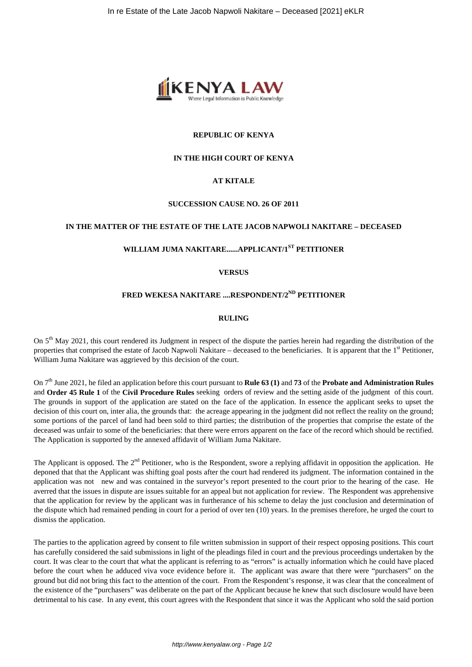

### **REPUBLIC OF KENYA**

### **IN THE HIGH COURT OF KENYA**

### **AT KITALE**

### **SUCCESSION CAUSE NO. 26 OF 2011**

# **IN THE MATTER OF THE ESTATE OF THE LATE JACOB NAPWOLI NAKITARE – DECEASED**

# **WILLIAM JUMA NAKITARE......APPLICANT/1ST PETITIONER**

### **VERSUS**

# **FRED WEKESA NAKITARE ....RESPONDENT/2ND PETITIONER**

### **RULING**

On 5<sup>th</sup> May 2021, this court rendered its Judgment in respect of the dispute the parties herein had regarding the distribution of the properties that comprised the estate of Jacob Napwoli Nakitare – deceased to the beneficiaries. It is apparent that the  $1<sup>st</sup>$  Petitioner, William Juma Nakitare was aggrieved by this decision of the court.

On 7th June 2021, he filed an application before this court pursuant to **Rule 63 (1)** and **73** of the **Probate and Administration Rules** and **Order 45 Rule 1** of the **Civil Procedure Rules** seeking orders of review and the setting aside of the judgment of this court. The grounds in support of the application are stated on the face of the application. In essence the applicant seeks to upset the decision of this court on, inter alia, the grounds that: the acreage appearing in the judgment did not reflect the reality on the ground; some portions of the parcel of land had been sold to third parties; the distribution of the properties that comprise the estate of the deceased was unfair to some of the beneficiaries: that there were errors apparent on the face of the record which should be rectified. The Application is supported by the annexed affidavit of William Juma Nakitare.

The Applicant is opposed. The  $2<sup>nd</sup>$  Petitioner, who is the Respondent, swore a replying affidavit in opposition the application. He deponed that that the Applicant was shifting goal posts after the court had rendered its judgment. The information contained in the application was not new and was contained in the surveyor's report presented to the court prior to the hearing of the case. He averred that the issues in dispute are issues suitable for an appeal but not application for review. The Respondent was apprehensive that the application for review by the applicant was in furtherance of his scheme to delay the just conclusion and determination of the dispute which had remained pending in court for a period of over ten (10) years. In the premises therefore, he urged the court to dismiss the application.

The parties to the application agreed by consent to file written submission in support of their respect opposing positions. This court has carefully considered the said submissions in light of the pleadings filed in court and the previous proceedings undertaken by the court. It was clear to the court that what the applicant is referring to as "errors" is actually information which he could have placed before the court when he adduced viva voce evidence before it. The applicant was aware that there were "purchasers" on the ground but did not bring this fact to the attention of the court. From the Respondent's response, it was clear that the concealment of the existence of the "purchasers" was deliberate on the part of the Applicant because he knew that such disclosure would have been detrimental to his case. In any event, this court agrees with the Respondent that since it was the Applicant who sold the said portion